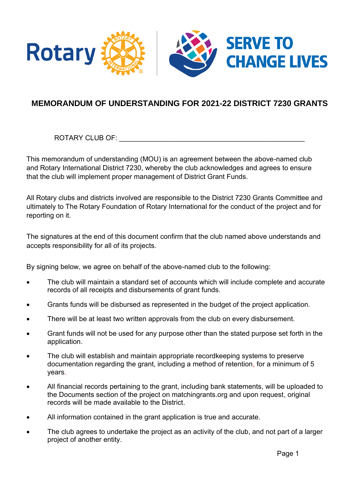

## **MEMORANDUM OF UNDERSTANDING FOR 2021-22 DISTRICT 7230 GRANTS**

ROTARY CLUB OF: \_\_\_\_\_\_\_\_\_\_\_\_\_\_\_\_\_\_\_\_\_\_\_\_\_\_\_\_\_\_\_\_\_\_\_\_\_\_\_\_\_\_\_\_\_\_\_\_

This memorandum of understanding (MOU) is an agreement between the above-named club and Rotary International District 7230, whereby the club acknowledges and agrees to ensure that the club will implement proper management of District Grant Funds.

All Rotary clubs and districts involved are responsible to the District 7230 Grants Committee and ultimately to The Rotary Foundation of Rotary International for the conduct of the project and for reporting on it.

The signatures at the end of this document confirm that the club named above understands and accepts responsibility for all of its projects.

By signing below, we agree on behalf of the above-named club to the following:

- The club will maintain a standard set of accounts which will include complete and accurate records of all receipts and disbursements of grant funds.
- Grants funds will be disbursed as represented in the budget of the project application.
- There will be at least two written approvals from the club on every disbursement.
- Grant funds will not be used for any purpose other than the stated purpose set forth in the application.
- The club will establish and maintain appropriate recordkeeping systems to preserve documentation regarding the grant, including a method of retention, for a minimum of 5 years.
- All financial records pertaining to the grant, including bank statements, will be uploaded to the Documents section of the project on matchingrants.org and upon request, original records will be made available to the District.
- All information contained in the grant application is true and accurate.
- The club agrees to undertake the project as an activity of the club, and not part of a larger project of another entity.